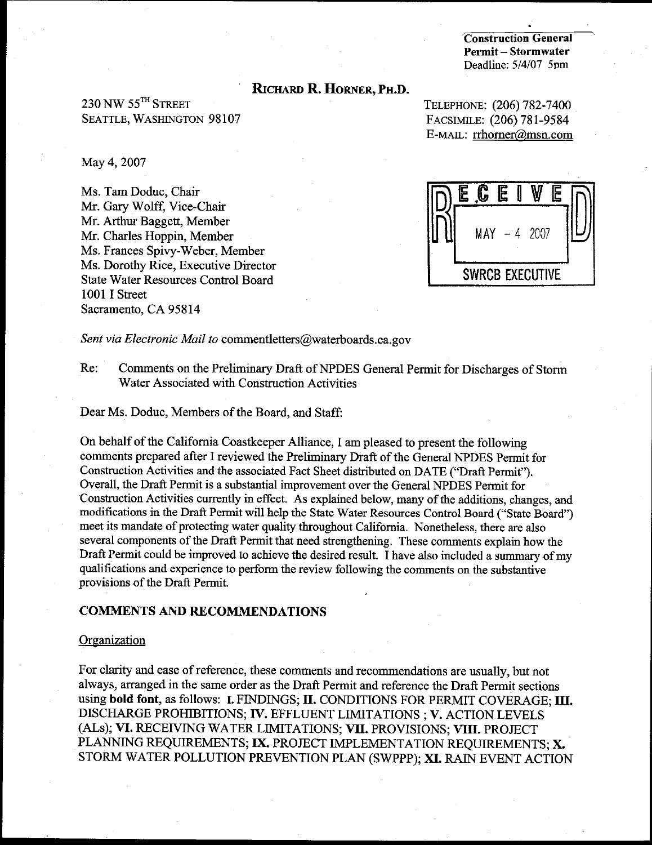**Construction General** Permit-Stormwater Deadline: 5/4/07 5pm

#### RICHARD R. HORNER, PH.D.

230 NW 55TH STREET **SEATTLE, WASHINGTON 98107** 

May 4, 2007

Ms. Tam Doduc, Chair Mr. Gary Wolff, Vice-Chair Mr. Arthur Baggett, Member Mr. Charles Hoppin, Member Ms. Frances Spivy-Weber, Member Ms. Dorothy Rice, Executive Director **State Water Resources Control Board** 1001 I Street Sacramento, CA 95814

TELEPHONE: (206) 782-7400 FACSIMILE: (206) 781-9584 E-MAIL: rrhorner@msn.com

C E Ε  $MAY - 4$  2007 **SWRCB EXECUTIVE** 

Sent via Electronic Mail to commentletters@waterboards.ca.gov

Comments on the Preliminary Draft of NPDES General Permit for Discharges of Storm Re: Water Associated with Construction Activities

Dear Ms. Doduc, Members of the Board, and Staff:

On behalf of the California Coastkeeper Alliance, I am pleased to present the following comments prepared after I reviewed the Preliminary Draft of the General NPDES Permit for Construction Activities and the associated Fact Sheet distributed on DATE ("Draft Permit"). Overall, the Draft Permit is a substantial improvement over the General NPDES Permit for Construction Activities currently in effect. As explained below, many of the additions, changes, and modifications in the Draft Permit will help the State Water Resources Control Board ("State Board") meet its mandate of protecting water quality throughout California. Nonetheless, there are also several components of the Draft Permit that need strengthening. These comments explain how the Draft Permit could be improved to achieve the desired result. I have also included a summary of my qualifications and experience to perform the review following the comments on the substantive provisions of the Draft Permit.

#### **COMMENTS AND RECOMMENDATIONS**

#### Organization

For clarity and ease of reference, these comments and recommendations are usually, but not always, arranged in the same order as the Draft Permit and reference the Draft Permit sections using bold font, as follows: I. FINDINGS; II. CONDITIONS FOR PERMIT COVERAGE; III. DISCHARGE PROHIBITIONS; IV. EFFLUENT LIMITATIONS ; V. ACTION LEVELS (ALs); VI. RECEIVING WATER LIMITATIONS; VII. PROVISIONS; VIII. PROJECT PLANNING REQUIREMENTS; IX. PROJECT IMPLEMENTATION REQUIREMENTS; X. STORM WATER POLLUTION PREVENTION PLAN (SWPPP); XI. RAIN EVENT ACTION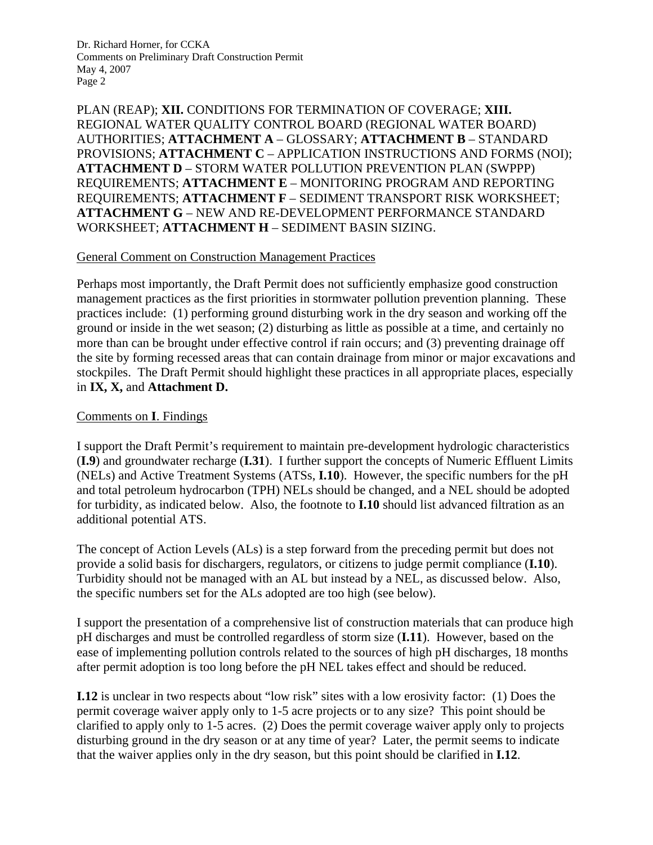PLAN (REAP); **XII.** CONDITIONS FOR TERMINATION OF COVERAGE; **XIII.** REGIONAL WATER QUALITY CONTROL BOARD (REGIONAL WATER BOARD) AUTHORITIES; **ATTACHMENT A** – GLOSSARY; **ATTACHMENT B** – STANDARD PROVISIONS; **ATTACHMENT C** – APPLICATION INSTRUCTIONS AND FORMS (NOI); **ATTACHMENT D** – STORM WATER POLLUTION PREVENTION PLAN (SWPPP) REQUIREMENTS; **ATTACHMENT E** – MONITORING PROGRAM AND REPORTING REQUIREMENTS; **ATTACHMENT F** – SEDIMENT TRANSPORT RISK WORKSHEET; **ATTACHMENT G** – NEW AND RE-DEVELOPMENT PERFORMANCE STANDARD WORKSHEET; **ATTACHMENT H** – SEDIMENT BASIN SIZING.

#### General Comment on Construction Management Practices

Perhaps most importantly, the Draft Permit does not sufficiently emphasize good construction management practices as the first priorities in stormwater pollution prevention planning. These practices include: (1) performing ground disturbing work in the dry season and working off the ground or inside in the wet season; (2) disturbing as little as possible at a time, and certainly no more than can be brought under effective control if rain occurs; and (3) preventing drainage off the site by forming recessed areas that can contain drainage from minor or major excavations and stockpiles. The Draft Permit should highlight these practices in all appropriate places, especially in **IX, X,** and **Attachment D.**

#### Comments on **I**. Findings

I support the Draft Permit's requirement to maintain pre-development hydrologic characteristics (**I.9**) and groundwater recharge (**I.31**). I further support the concepts of Numeric Effluent Limits (NELs) and Active Treatment Systems (ATSs, **I.10**). However, the specific numbers for the pH and total petroleum hydrocarbon (TPH) NELs should be changed, and a NEL should be adopted for turbidity, as indicated below. Also, the footnote to **I.10** should list advanced filtration as an additional potential ATS.

The concept of Action Levels (ALs) is a step forward from the preceding permit but does not provide a solid basis for dischargers, regulators, or citizens to judge permit compliance (**I.10**). Turbidity should not be managed with an AL but instead by a NEL, as discussed below. Also, the specific numbers set for the ALs adopted are too high (see below).

I support the presentation of a comprehensive list of construction materials that can produce high pH discharges and must be controlled regardless of storm size (**I.11**). However, based on the ease of implementing pollution controls related to the sources of high pH discharges, 18 months after permit adoption is too long before the pH NEL takes effect and should be reduced.

**I.12** is unclear in two respects about "low risk" sites with a low erosivity factor: (1) Does the permit coverage waiver apply only to 1-5 acre projects or to any size? This point should be clarified to apply only to 1-5 acres. (2) Does the permit coverage waiver apply only to projects disturbing ground in the dry season or at any time of year? Later, the permit seems to indicate that the waiver applies only in the dry season, but this point should be clarified in **I.12**.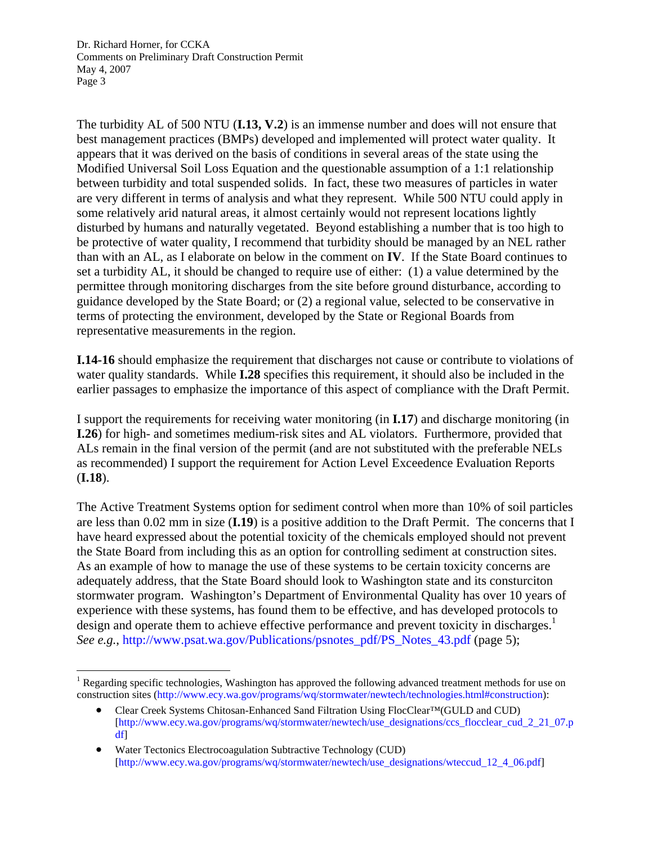$\overline{a}$ 

The turbidity AL of 500 NTU (**I.13, V.2**) is an immense number and does will not ensure that best management practices (BMPs) developed and implemented will protect water quality. It appears that it was derived on the basis of conditions in several areas of the state using the Modified Universal Soil Loss Equation and the questionable assumption of a 1:1 relationship between turbidity and total suspended solids. In fact, these two measures of particles in water are very different in terms of analysis and what they represent. While 500 NTU could apply in some relatively arid natural areas, it almost certainly would not represent locations lightly disturbed by humans and naturally vegetated. Beyond establishing a number that is too high to be protective of water quality, I recommend that turbidity should be managed by an NEL rather than with an AL, as I elaborate on below in the comment on **IV**. If the State Board continues to set a turbidity AL, it should be changed to require use of either: (1) a value determined by the permittee through monitoring discharges from the site before ground disturbance, according to guidance developed by the State Board; or (2) a regional value, selected to be conservative in terms of protecting the environment, developed by the State or Regional Boards from representative measurements in the region.

**I.14-16** should emphasize the requirement that discharges not cause or contribute to violations of water quality standards. While **I.28** specifies this requirement, it should also be included in the earlier passages to emphasize the importance of this aspect of compliance with the Draft Permit.

I support the requirements for receiving water monitoring (in **I.17**) and discharge monitoring (in **I.26**) for high- and sometimes medium-risk sites and AL violators. Furthermore, provided that ALs remain in the final version of the permit (and are not substituted with the preferable NELs as recommended) I support the requirement for Action Level Exceedence Evaluation Reports (**I.18**).

The Active Treatment Systems option for sediment control when more than 10% of soil particles are less than 0.02 mm in size (**I.19**) is a positive addition to the Draft Permit. The concerns that I have heard expressed about the potential toxicity of the chemicals employed should not prevent the State Board from including this as an option for controlling sediment at construction sites. As an example of how to manage the use of these systems to be certain toxicity concerns are adequately address, that the State Board should look to Washington state and its consturciton stormwater program. Washington's Department of Environmental Quality has over 10 years of experience with these systems, has found them to be effective, and has developed protocols to design and operate them to achieve effective performance and prevent toxicity in discharges.<sup>1</sup> *See e.g.*, http://www.psat.wa.gov/Publications/psnotes\_pdf/PS\_Notes\_43.pdf (page 5);

<sup>&</sup>lt;sup>1</sup> Regarding specific technologies, Washington has approved the following advanced treatment methods for use on construction sites (http://www.ecy.wa.gov/programs/wq/stormwater/newtech/technologies.html#construction):

<sup>•</sup> Clear Creek Systems Chitosan-Enhanced Sand Filtration Using FlocClear™(GULD and CUD) [http://www.ecy.wa.gov/programs/wq/stormwater/newtech/use\_designations/ccs\_flocclear\_cud\_2\_21\_07.p df]

<sup>•</sup> Water Tectonics Electrocoagulation Subtractive Technology (CUD) [http://www.ecy.wa.gov/programs/wq/stormwater/newtech/use\_designations/wteccud\_12\_4\_06.pdf]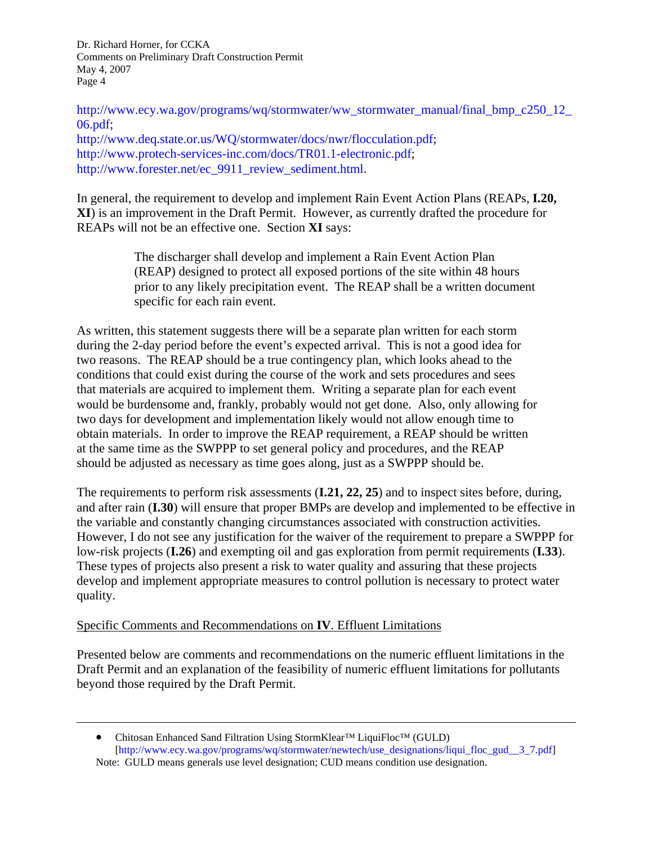http://www.ecy.wa.gov/programs/wq/stormwater/ww\_stormwater\_manual/final\_bmp\_c250\_12  $06.pdf$ http://www.deq.state.or.us/WQ/stormwater/docs/nwr/flocculation.pdf; http://www.protech-services-inc.com/docs/TR01.1-electronic.pdf; http://www.forester.net/ec\_9911\_review\_sediment.html.

In general, the requirement to develop and implement Rain Event Action Plans (REAPs, **I.20, XI**) is an improvement in the Draft Permit. However, as currently drafted the procedure for REAPs will not be an effective one. Section **XI** says:

> The discharger shall develop and implement a Rain Event Action Plan (REAP) designed to protect all exposed portions of the site within 48 hours prior to any likely precipitation event. The REAP shall be a written document specific for each rain event.

As written, this statement suggests there will be a separate plan written for each storm during the 2-day period before the event's expected arrival. This is not a good idea for two reasons. The REAP should be a true contingency plan, which looks ahead to the conditions that could exist during the course of the work and sets procedures and sees that materials are acquired to implement them. Writing a separate plan for each event would be burdensome and, frankly, probably would not get done. Also, only allowing for two days for development and implementation likely would not allow enough time to obtain materials. In order to improve the REAP requirement, a REAP should be written at the same time as the SWPPP to set general policy and procedures, and the REAP should be adjusted as necessary as time goes along, just as a SWPPP should be.

The requirements to perform risk assessments (**I.21, 22, 25**) and to inspect sites before, during, and after rain (**I.30**) will ensure that proper BMPs are develop and implemented to be effective in the variable and constantly changing circumstances associated with construction activities. However, I do not see any justification for the waiver of the requirement to prepare a SWPPP for low-risk projects (**I.26**) and exempting oil and gas exploration from permit requirements (**I.33**). These types of projects also present a risk to water quality and assuring that these projects develop and implement appropriate measures to control pollution is necessary to protect water quality.

#### Specific Comments and Recommendations on **IV**. Effluent Limitations

 $\overline{a}$ 

Presented below are comments and recommendations on the numeric effluent limitations in the Draft Permit and an explanation of the feasibility of numeric effluent limitations for pollutants beyond those required by the Draft Permit.

<sup>•</sup> Chitosan Enhanced Sand Filtration Using StormKlear™ LiquiFloc™ (GULD) [http://www.ecy.wa.gov/programs/wq/stormwater/newtech/use\_designations/liqui\_floc\_gud\_\_3\_7.pdf] Note: GULD means generals use level designation; CUD means condition use designation.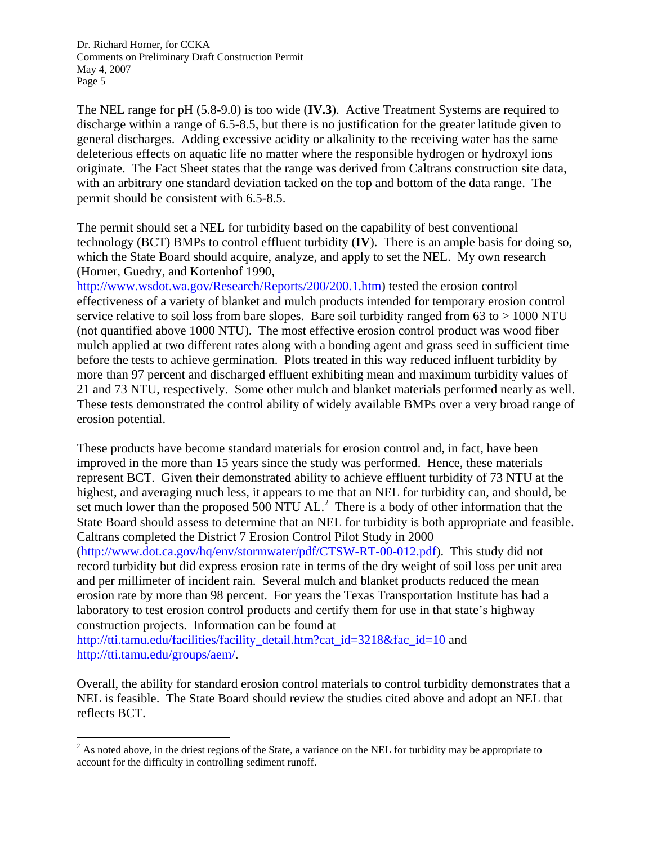The NEL range for pH (5.8-9.0) is too wide (**IV.3**). Active Treatment Systems are required to discharge within a range of 6.5-8.5, but there is no justification for the greater latitude given to general discharges. Adding excessive acidity or alkalinity to the receiving water has the same deleterious effects on aquatic life no matter where the responsible hydrogen or hydroxyl ions originate. The Fact Sheet states that the range was derived from Caltrans construction site data, with an arbitrary one standard deviation tacked on the top and bottom of the data range. The permit should be consistent with 6.5-8.5.

The permit should set a NEL for turbidity based on the capability of best conventional technology (BCT) BMPs to control effluent turbidity (**IV**). There is an ample basis for doing so, which the State Board should acquire, analyze, and apply to set the NEL. My own research (Horner, Guedry, and Kortenhof 1990,

http://www.wsdot.wa.gov/Research/Reports/200/200.1.htm) tested the erosion control effectiveness of a variety of blanket and mulch products intended for temporary erosion control service relative to soil loss from bare slopes. Bare soil turbidity ranged from  $63$  to  $> 1000$  NTU (not quantified above 1000 NTU). The most effective erosion control product was wood fiber mulch applied at two different rates along with a bonding agent and grass seed in sufficient time before the tests to achieve germination. Plots treated in this way reduced influent turbidity by more than 97 percent and discharged effluent exhibiting mean and maximum turbidity values of 21 and 73 NTU, respectively. Some other mulch and blanket materials performed nearly as well. These tests demonstrated the control ability of widely available BMPs over a very broad range of erosion potential.

These products have become standard materials for erosion control and, in fact, have been improved in the more than 15 years since the study was performed. Hence, these materials represent BCT. Given their demonstrated ability to achieve effluent turbidity of 73 NTU at the highest, and averaging much less, it appears to me that an NEL for turbidity can, and should, be set much lower than the proposed  $500$  NTU AL.<sup>2</sup> There is a body of other information that the State Board should assess to determine that an NEL for turbidity is both appropriate and feasible. Caltrans completed the District 7 Erosion Control Pilot Study in 2000

(http://www.dot.ca.gov/hq/env/stormwater/pdf/CTSW-RT-00-012.pdf). This study did not record turbidity but did express erosion rate in terms of the dry weight of soil loss per unit area and per millimeter of incident rain. Several mulch and blanket products reduced the mean erosion rate by more than 98 percent. For years the Texas Transportation Institute has had a laboratory to test erosion control products and certify them for use in that state's highway construction projects. Information can be found at

http://tti.tamu.edu/facilities/facility\_detail.htm?cat\_id=3218&fac\_id=10 and http://tti.tamu.edu/groups/aem/.

 $\overline{a}$ 

Overall, the ability for standard erosion control materials to control turbidity demonstrates that a NEL is feasible. The State Board should review the studies cited above and adopt an NEL that reflects BCT.

 $2^2$  As noted above, in the driest regions of the State, a variance on the NEL for turbidity may be appropriate to account for the difficulty in controlling sediment runoff.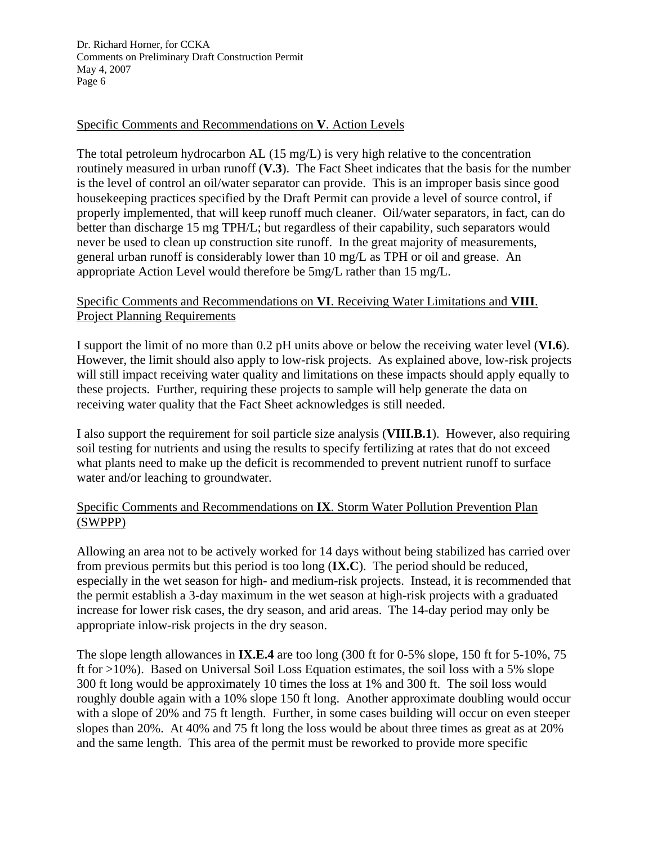### Specific Comments and Recommendations on **V**. Action Levels

The total petroleum hydrocarbon AL (15 mg/L) is very high relative to the concentration routinely measured in urban runoff (**V.3**). The Fact Sheet indicates that the basis for the number is the level of control an oil/water separator can provide. This is an improper basis since good housekeeping practices specified by the Draft Permit can provide a level of source control, if properly implemented, that will keep runoff much cleaner. Oil/water separators, in fact, can do better than discharge 15 mg TPH/L; but regardless of their capability, such separators would never be used to clean up construction site runoff. In the great majority of measurements, general urban runoff is considerably lower than 10 mg/L as TPH or oil and grease. An appropriate Action Level would therefore be 5mg/L rather than 15 mg/L.

### Specific Comments and Recommendations on **VI**. Receiving Water Limitations and **VIII**. Project Planning Requirements

I support the limit of no more than 0.2 pH units above or below the receiving water level (**VI.6**). However, the limit should also apply to low-risk projects. As explained above, low-risk projects will still impact receiving water quality and limitations on these impacts should apply equally to these projects. Further, requiring these projects to sample will help generate the data on receiving water quality that the Fact Sheet acknowledges is still needed.

I also support the requirement for soil particle size analysis (**VIII.B.1**). However, also requiring soil testing for nutrients and using the results to specify fertilizing at rates that do not exceed what plants need to make up the deficit is recommended to prevent nutrient runoff to surface water and/or leaching to groundwater.

# Specific Comments and Recommendations on **IX**. Storm Water Pollution Prevention Plan (SWPPP)

Allowing an area not to be actively worked for 14 days without being stabilized has carried over from previous permits but this period is too long (**IX.C**). The period should be reduced, especially in the wet season for high- and medium-risk projects. Instead, it is recommended that the permit establish a 3-day maximum in the wet season at high-risk projects with a graduated increase for lower risk cases, the dry season, and arid areas. The 14-day period may only be appropriate inlow-risk projects in the dry season.

The slope length allowances in **IX.E.4** are too long (300 ft for 0-5% slope, 150 ft for 5-10%, 75 ft for >10%). Based on Universal Soil Loss Equation estimates, the soil loss with a 5% slope 300 ft long would be approximately 10 times the loss at 1% and 300 ft. The soil loss would roughly double again with a 10% slope 150 ft long. Another approximate doubling would occur with a slope of 20% and 75 ft length. Further, in some cases building will occur on even steeper slopes than 20%. At 40% and 75 ft long the loss would be about three times as great as at 20% and the same length. This area of the permit must be reworked to provide more specific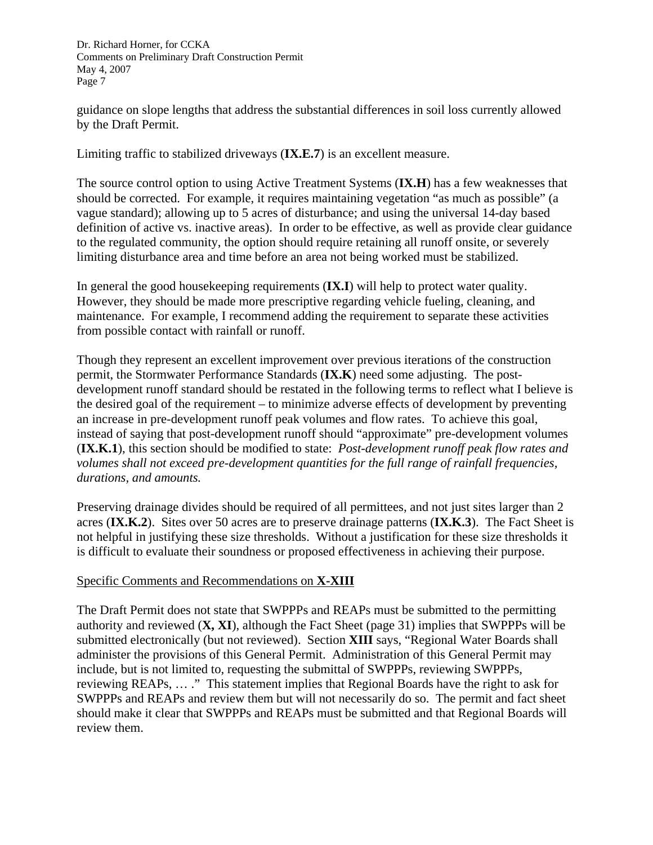guidance on slope lengths that address the substantial differences in soil loss currently allowed by the Draft Permit.

Limiting traffic to stabilized driveways (**IX.E.7**) is an excellent measure.

The source control option to using Active Treatment Systems (**IX.H**) has a few weaknesses that should be corrected. For example, it requires maintaining vegetation "as much as possible" (a vague standard); allowing up to 5 acres of disturbance; and using the universal 14-day based definition of active vs. inactive areas). In order to be effective, as well as provide clear guidance to the regulated community, the option should require retaining all runoff onsite, or severely limiting disturbance area and time before an area not being worked must be stabilized.

In general the good housekeeping requirements (**IX.I**) will help to protect water quality. However, they should be made more prescriptive regarding vehicle fueling, cleaning, and maintenance. For example, I recommend adding the requirement to separate these activities from possible contact with rainfall or runoff.

Though they represent an excellent improvement over previous iterations of the construction permit, the Stormwater Performance Standards (**IX.K**) need some adjusting. The postdevelopment runoff standard should be restated in the following terms to reflect what I believe is the desired goal of the requirement – to minimize adverse effects of development by preventing an increase in pre-development runoff peak volumes and flow rates. To achieve this goal, instead of saying that post-development runoff should "approximate" pre-development volumes (**IX.K.1**), this section should be modified to state: *Post-development runoff peak flow rates and volumes shall not exceed pre-development quantities for the full range of rainfall frequencies, durations, and amounts.*

Preserving drainage divides should be required of all permittees, and not just sites larger than 2 acres (**IX.K.2**). Sites over 50 acres are to preserve drainage patterns (**IX.K.3**). The Fact Sheet is not helpful in justifying these size thresholds. Without a justification for these size thresholds it is difficult to evaluate their soundness or proposed effectiveness in achieving their purpose.

# Specific Comments and Recommendations on **X-XIII**

The Draft Permit does not state that SWPPPs and REAPs must be submitted to the permitting authority and reviewed (**X, XI**), although the Fact Sheet (page 31) implies that SWPPPs will be submitted electronically (but not reviewed). Section **XIII** says, "Regional Water Boards shall administer the provisions of this General Permit. Administration of this General Permit may include, but is not limited to, requesting the submittal of SWPPPs, reviewing SWPPPs, reviewing REAPs, … ." This statement implies that Regional Boards have the right to ask for SWPPPs and REAPs and review them but will not necessarily do so. The permit and fact sheet should make it clear that SWPPPs and REAPs must be submitted and that Regional Boards will review them.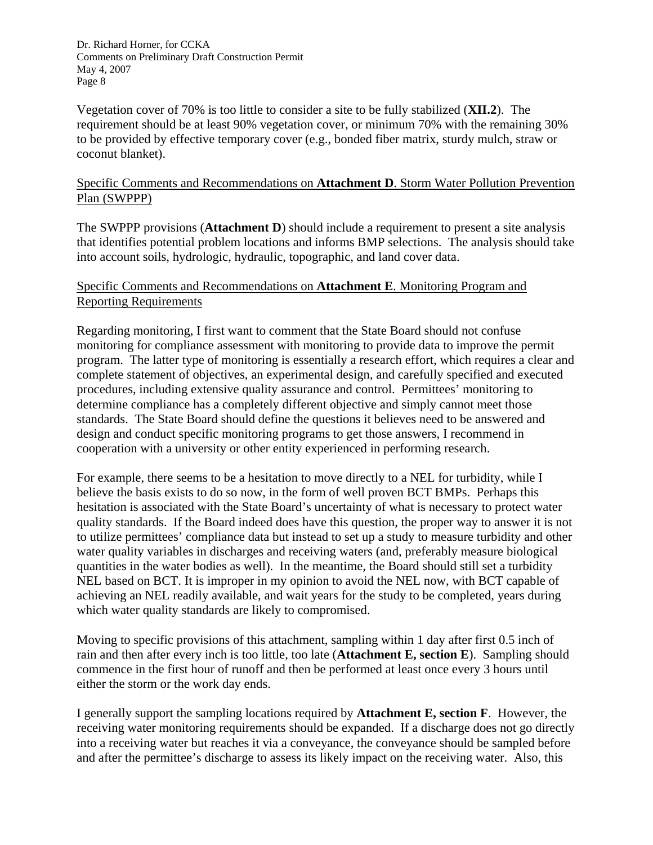Vegetation cover of 70% is too little to consider a site to be fully stabilized (**XII.2**). The requirement should be at least 90% vegetation cover, or minimum 70% with the remaining 30% to be provided by effective temporary cover (e.g., bonded fiber matrix, sturdy mulch, straw or coconut blanket).

### Specific Comments and Recommendations on **Attachment D**. Storm Water Pollution Prevention Plan (SWPPP)

The SWPPP provisions (**Attachment D**) should include a requirement to present a site analysis that identifies potential problem locations and informs BMP selections. The analysis should take into account soils, hydrologic, hydraulic, topographic, and land cover data.

## Specific Comments and Recommendations on **Attachment E**. Monitoring Program and Reporting Requirements

Regarding monitoring, I first want to comment that the State Board should not confuse monitoring for compliance assessment with monitoring to provide data to improve the permit program. The latter type of monitoring is essentially a research effort, which requires a clear and complete statement of objectives, an experimental design, and carefully specified and executed procedures, including extensive quality assurance and control. Permittees' monitoring to determine compliance has a completely different objective and simply cannot meet those standards. The State Board should define the questions it believes need to be answered and design and conduct specific monitoring programs to get those answers, I recommend in cooperation with a university or other entity experienced in performing research.

For example, there seems to be a hesitation to move directly to a NEL for turbidity, while I believe the basis exists to do so now, in the form of well proven BCT BMPs. Perhaps this hesitation is associated with the State Board's uncertainty of what is necessary to protect water quality standards. If the Board indeed does have this question, the proper way to answer it is not to utilize permittees' compliance data but instead to set up a study to measure turbidity and other water quality variables in discharges and receiving waters (and, preferably measure biological quantities in the water bodies as well). In the meantime, the Board should still set a turbidity NEL based on BCT. It is improper in my opinion to avoid the NEL now, with BCT capable of achieving an NEL readily available, and wait years for the study to be completed, years during which water quality standards are likely to compromised.

Moving to specific provisions of this attachment, sampling within 1 day after first 0.5 inch of rain and then after every inch is too little, too late (**Attachment E, section E**). Sampling should commence in the first hour of runoff and then be performed at least once every 3 hours until either the storm or the work day ends.

I generally support the sampling locations required by **Attachment E, section F**. However, the receiving water monitoring requirements should be expanded. If a discharge does not go directly into a receiving water but reaches it via a conveyance, the conveyance should be sampled before and after the permittee's discharge to assess its likely impact on the receiving water. Also, this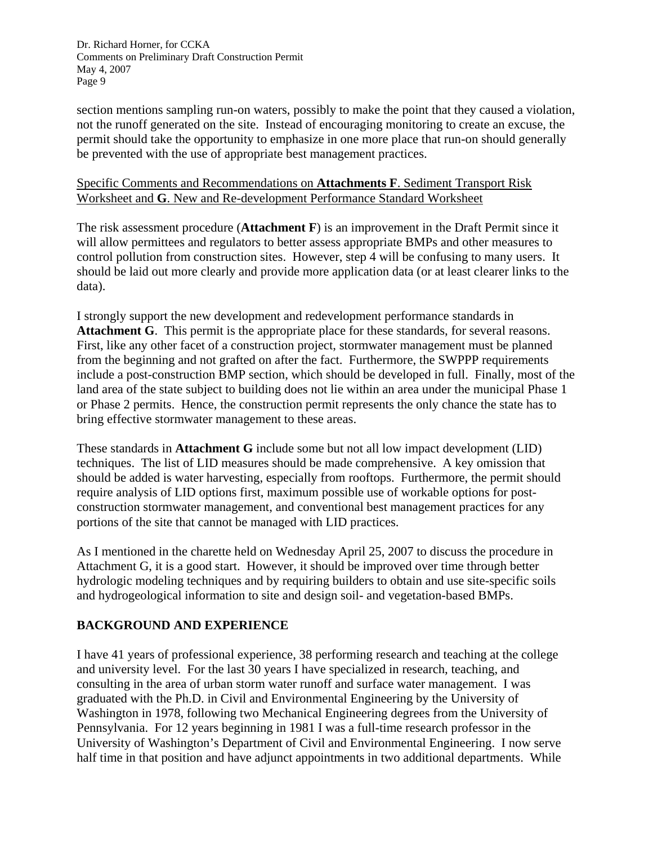section mentions sampling run-on waters, possibly to make the point that they caused a violation, not the runoff generated on the site. Instead of encouraging monitoring to create an excuse, the permit should take the opportunity to emphasize in one more place that run-on should generally be prevented with the use of appropriate best management practices.

### Specific Comments and Recommendations on **Attachments F**. Sediment Transport Risk Worksheet and **G**. New and Re-development Performance Standard Worksheet

The risk assessment procedure (**Attachment F**) is an improvement in the Draft Permit since it will allow permittees and regulators to better assess appropriate BMPs and other measures to control pollution from construction sites. However, step 4 will be confusing to many users. It should be laid out more clearly and provide more application data (or at least clearer links to the data).

I strongly support the new development and redevelopment performance standards in **Attachment G**. This permit is the appropriate place for these standards, for several reasons. First, like any other facet of a construction project, stormwater management must be planned from the beginning and not grafted on after the fact. Furthermore, the SWPPP requirements include a post-construction BMP section, which should be developed in full. Finally, most of the land area of the state subject to building does not lie within an area under the municipal Phase 1 or Phase 2 permits. Hence, the construction permit represents the only chance the state has to bring effective stormwater management to these areas.

These standards in **Attachment G** include some but not all low impact development (LID) techniques. The list of LID measures should be made comprehensive. A key omission that should be added is water harvesting, especially from rooftops. Furthermore, the permit should require analysis of LID options first, maximum possible use of workable options for postconstruction stormwater management, and conventional best management practices for any portions of the site that cannot be managed with LID practices.

As I mentioned in the charette held on Wednesday April 25, 2007 to discuss the procedure in Attachment G, it is a good start. However, it should be improved over time through better hydrologic modeling techniques and by requiring builders to obtain and use site-specific soils and hydrogeological information to site and design soil- and vegetation-based BMPs.

# **BACKGROUND AND EXPERIENCE**

I have 41 years of professional experience, 38 performing research and teaching at the college and university level. For the last 30 years I have specialized in research, teaching, and consulting in the area of urban storm water runoff and surface water management. I was graduated with the Ph.D. in Civil and Environmental Engineering by the University of Washington in 1978, following two Mechanical Engineering degrees from the University of Pennsylvania. For 12 years beginning in 1981 I was a full-time research professor in the University of Washington's Department of Civil and Environmental Engineering. I now serve half time in that position and have adjunct appointments in two additional departments. While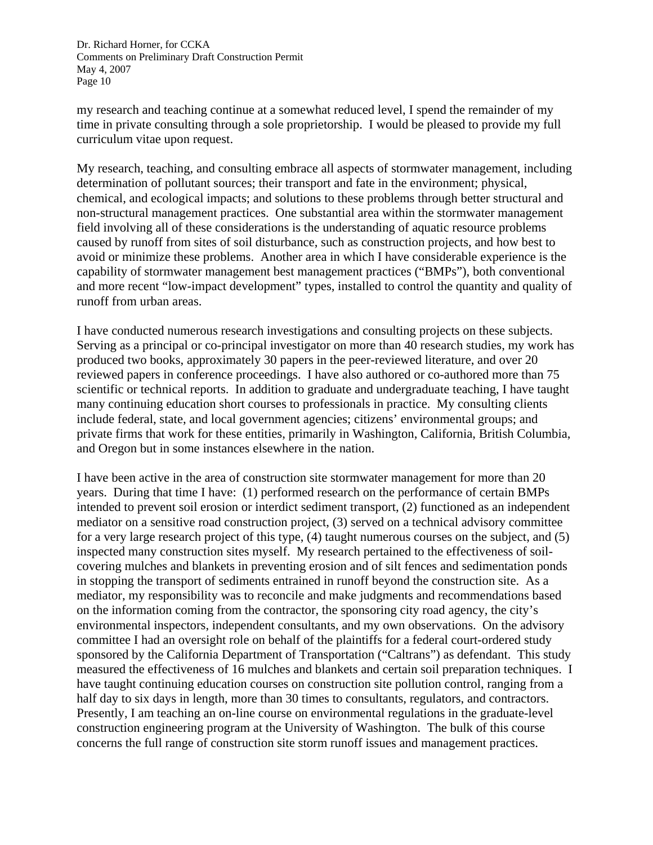my research and teaching continue at a somewhat reduced level, I spend the remainder of my time in private consulting through a sole proprietorship. I would be pleased to provide my full curriculum vitae upon request.

My research, teaching, and consulting embrace all aspects of stormwater management, including determination of pollutant sources; their transport and fate in the environment; physical, chemical, and ecological impacts; and solutions to these problems through better structural and non-structural management practices. One substantial area within the stormwater management field involving all of these considerations is the understanding of aquatic resource problems caused by runoff from sites of soil disturbance, such as construction projects, and how best to avoid or minimize these problems. Another area in which I have considerable experience is the capability of stormwater management best management practices ("BMPs"), both conventional and more recent "low-impact development" types, installed to control the quantity and quality of runoff from urban areas.

I have conducted numerous research investigations and consulting projects on these subjects. Serving as a principal or co-principal investigator on more than 40 research studies, my work has produced two books, approximately 30 papers in the peer-reviewed literature, and over 20 reviewed papers in conference proceedings. I have also authored or co-authored more than 75 scientific or technical reports. In addition to graduate and undergraduate teaching, I have taught many continuing education short courses to professionals in practice. My consulting clients include federal, state, and local government agencies; citizens' environmental groups; and private firms that work for these entities, primarily in Washington, California, British Columbia, and Oregon but in some instances elsewhere in the nation.

I have been active in the area of construction site stormwater management for more than 20 years. During that time I have: (1) performed research on the performance of certain BMPs intended to prevent soil erosion or interdict sediment transport, (2) functioned as an independent mediator on a sensitive road construction project, (3) served on a technical advisory committee for a very large research project of this type, (4) taught numerous courses on the subject, and (5) inspected many construction sites myself. My research pertained to the effectiveness of soilcovering mulches and blankets in preventing erosion and of silt fences and sedimentation ponds in stopping the transport of sediments entrained in runoff beyond the construction site. As a mediator, my responsibility was to reconcile and make judgments and recommendations based on the information coming from the contractor, the sponsoring city road agency, the city's environmental inspectors, independent consultants, and my own observations. On the advisory committee I had an oversight role on behalf of the plaintiffs for a federal court-ordered study sponsored by the California Department of Transportation ("Caltrans") as defendant. This study measured the effectiveness of 16 mulches and blankets and certain soil preparation techniques. I have taught continuing education courses on construction site pollution control, ranging from a half day to six days in length, more than 30 times to consultants, regulators, and contractors. Presently, I am teaching an on-line course on environmental regulations in the graduate-level construction engineering program at the University of Washington. The bulk of this course concerns the full range of construction site storm runoff issues and management practices.